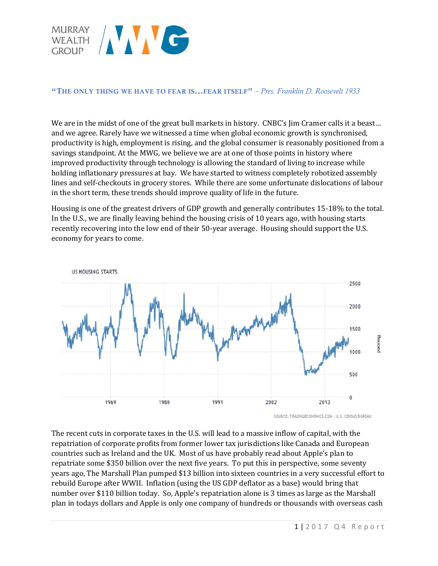

#### "THE ONLY THING WE HAVE TO FEAR IS...FEAR ITSELF" *– Pres. Franklin D. Roosevelt 1933*

We are in the midst of one of the great bull markets in history. CNBC's Jim Cramer calls it a beast... and we agree. Rarely have we witnessed a time when global economic growth is synchronised, productivity is high, employment is rising, and the global consumer is reasonably positioned from a savings standpoint. At the MWG, we believe we are at one of those points in history where improved productivity through technology is allowing the standard of living to increase while holding inflationary pressures at bay. We have started to witness completely robotized assembly lines and self-checkouts in grocery stores. While there are some unfortunate dislocations of labour in the short term, these trends should improve quality of life in the future.

Housing is one of the greatest drivers of GDP growth and generally contributes 15-18% to the total. In the U.S., we are finally leaving behind the housing crisis of 10 years ago, with housing starts recently recovering into the low end of their 50-year average. Housing should support the U.S. economy for years to come.



The recent cuts in corporate taxes in the U.S. will lead to a massive inflow of capital, with the repatriation of corporate profits from former lower tax jurisdictions like Canada and European countries such as Ireland and the UK. Most of us have probably read about Apple's plan to repatriate some \$350 billion over the next five years. To put this in perspective, some seventy years ago, The Marshall Plan pumped \$13 billion into sixteen countries in a very successful effort to rebuild Europe after WWII. Inflation (using the US GDP deflator as a base) would bring that number over \$110 billion today. So, Apple's repatriation alone is 3 times as large as the Marshall plan in todays dollars and Apple is only one company of hundreds or thousands with overseas cash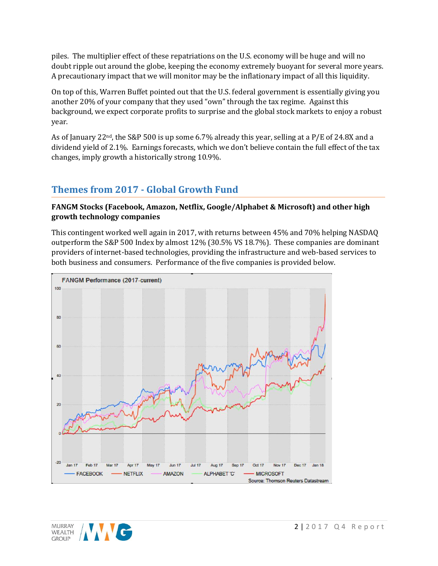piles. The multiplier effect of these repatriations on the U.S. economy will be huge and will no doubt ripple out around the globe, keeping the economy extremely buoyant for several more years. A precautionary impact that we will monitor may be the inflationary impact of all this liquidity.

On top of this, Warren Buffet pointed out that the U.S. federal government is essentially giving you another 20% of your company that they used "own" through the tax regime. Against this background, we expect corporate profits to surprise and the global stock markets to enjoy a robust year.

As of January 22<sup>nd</sup>, the S&P 500 is up some 6.7% already this year, selling at a P/E of 24.8X and a dividend yield of 2.1%. Earnings forecasts, which we don't believe contain the full effect of the tax changes, imply growth a historically strong 10.9%.

# **Themes from 2017 - Global Growth Fund**

### **FANGM Stocks (Facebook, Amazon, Netflix, Google/Alphabet & Microsoft) and other high growth technology companies**

This contingent worked well again in 2017, with returns between 45% and 70% helping NASDAQ outperform the S&P 500 Index by almost 12% (30.5% VS 18.7%). These companies are dominant providers of internet-based technologies, providing the infrastructure and web-based services to both business and consumers. Performance of the five companies is provided below.



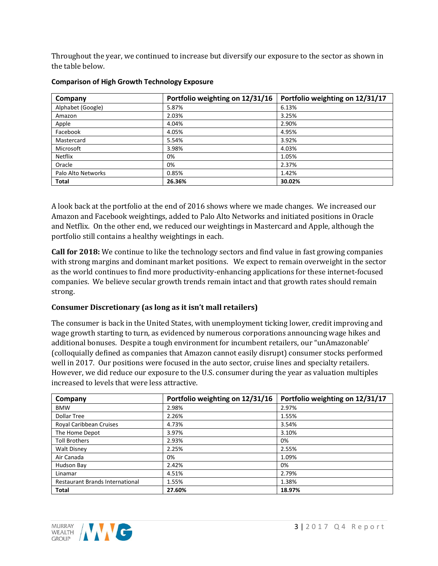Throughout the year, we continued to increase but diversify our exposure to the sector as shown in the table below.

| Company            | Portfolio weighting on 12/31/16 | Portfolio weighting on 12/31/17 |
|--------------------|---------------------------------|---------------------------------|
| Alphabet (Google)  | 5.87%                           | 6.13%                           |
| Amazon             | 2.03%                           | 3.25%                           |
| Apple              | 4.04%                           | 2.90%                           |
| Facebook           | 4.05%                           | 4.95%                           |
| Mastercard         | 5.54%                           | 3.92%                           |
| Microsoft          | 3.98%                           | 4.03%                           |
| <b>Netflix</b>     | 0%                              | 1.05%                           |
| Oracle             | 0%                              | 2.37%                           |
| Palo Alto Networks | 0.85%                           | 1.42%                           |
| <b>Total</b>       | 26.36%                          | 30.02%                          |

#### **Comparison of High Growth Technology Exposure**

A look back at the portfolio at the end of 2016 shows where we made changes. We increased our Amazon and Facebook weightings, added to Palo Alto Networks and initiated positions in Oracle and Netflix. On the other end, we reduced our weightings in Mastercard and Apple, although the portfolio still contains a healthy weightings in each.

**Call for 2018:** We continue to like the technology sectors and find value in fast growing companies with strong margins and dominant market positions. We expect to remain overweight in the sector as the world continues to find more productivity-enhancing applications for these internet-focused companies. We believe secular growth trends remain intact and that growth rates should remain strong.

#### **Consumer Discretionary (as long as it isn't mall retailers)**

The consumer is back in the United States, with unemployment ticking lower, credit improving and wage growth starting to turn, as evidenced by numerous corporations announcing wage hikes and additional bonuses. Despite a tough environment for incumbent retailers, our "unAmazonable' (colloquially defined as companies that Amazon cannot easily disrupt) consumer stocks performed well in 2017. Our positions were focused in the auto sector, cruise lines and specialty retailers. However, we did reduce our exposure to the U.S. consumer during the year as valuation multiples increased to levels that were less attractive.

| Company                                | Portfolio weighting on 12/31/16 | Portfolio weighting on 12/31/17 |
|----------------------------------------|---------------------------------|---------------------------------|
| <b>BMW</b>                             | 2.98%                           | 2.97%                           |
| <b>Dollar Tree</b>                     | 2.26%                           | 1.55%                           |
| Royal Caribbean Cruises                | 4.73%                           | 3.54%                           |
| The Home Depot                         | 3.97%                           | 3.10%                           |
| <b>Toll Brothers</b>                   | 2.93%                           | 0%                              |
| <b>Walt Disney</b>                     | 2.25%                           | 2.55%                           |
| Air Canada                             | 0%                              | 1.09%                           |
| Hudson Bay                             | 2.42%                           | 0%                              |
| Linamar                                | 4.51%                           | 2.79%                           |
| <b>Restaurant Brands International</b> | 1.55%                           | 1.38%                           |
| <b>Total</b>                           | 27.60%                          | 18.97%                          |

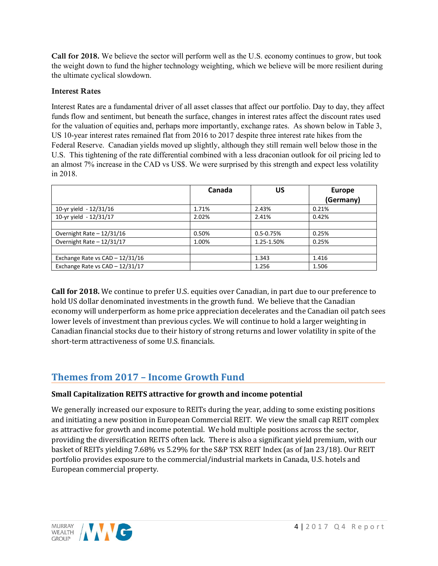**Call for 2018.** We believe the sector will perform well as the U.S. economy continues to grow, but took the weight down to fund the higher technology weighting, which we believe will be more resilient during the ultimate cyclical slowdown.

### **Interest Rates**

Interest Rates are a fundamental driver of all asset classes that affect our portfolio. Day to day, they affect funds flow and sentiment, but beneath the surface, changes in interest rates affect the discount rates used for the valuation of equities and, perhaps more importantly, exchange rates. As shown below in Table 3, US 10-year interest rates remained flat from 2016 to 2017 despite three interest rate hikes from the Federal Reserve. Canadian yields moved up slightly, although they still remain well below those in the U.S. This tightening of the rate differential combined with a less draconian outlook for oil pricing led to an almost 7% increase in the CAD vs US\$. We were surprised by this strength and expect less volatility in 2018.

|                                   | Canada | บร            | <b>Europe</b> |
|-----------------------------------|--------|---------------|---------------|
|                                   |        |               | (Germany)     |
| 10-yr yield - 12/31/16            | 1.71%  | 2.43%         | 0.21%         |
| 10-yr yield - 12/31/17            | 2.02%  | 2.41%         | 0.42%         |
|                                   |        |               |               |
| Overnight Rate $-12/31/16$        | 0.50%  | $0.5 - 0.75%$ | 0.25%         |
| Overnight Rate - 12/31/17         | 1.00%  | 1.25-1.50%    | 0.25%         |
|                                   |        |               |               |
| Exchange Rate vs $CAD - 12/31/16$ |        | 1.343         | 1.416         |
| Exchange Rate vs CAD - 12/31/17   |        | 1.256         | 1.506         |

**Call for 2018.** We continue to prefer U.S. equities over Canadian, in part due to our preference to hold US dollar denominated investments in the growth fund. We believe that the Canadian economy will underperform as home price appreciation decelerates and the Canadian oil patch sees lower levels of investment than previous cycles. We will continue to hold a larger weighting in Canadian financial stocks due to their history of strong returns and lower volatility in spite of the short-term attractiveness of some U.S. financials.

## **Themes from 2017 – Income Growth Fund**

## **Small Capitalization REITS attractive for growth and income potential**

We generally increased our exposure to REITs during the year, adding to some existing positions and initiating a new position in European Commercial REIT. We view the small cap REIT complex as attractive for growth and income potential. We hold multiple positions across the sector, providing the diversification REITS often lack. There is also a significant yield premium, with our basket of REITs yielding 7.68% vs 5.29% for the S&P TSX REIT Index (as of Jan 23/18). Our REIT portfolio provides exposure to the commercial/industrial markets in Canada, U.S. hotels and European commercial property.